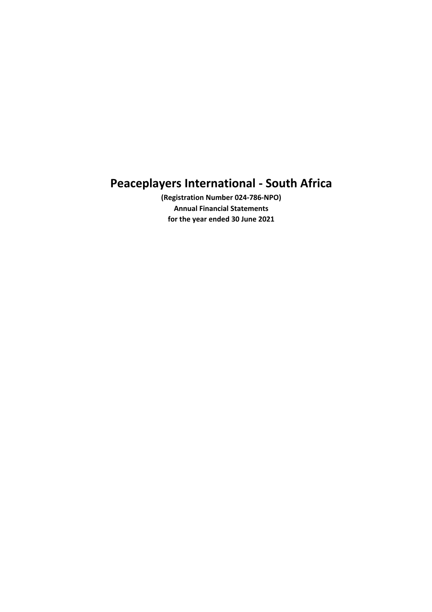(Registration Number 024-786-NPO) Annual Financial Statements for the year ended 30 June 2021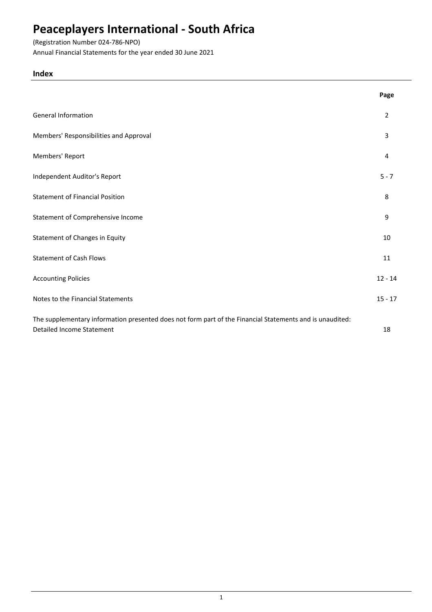# (Registration Number 024-786-NPO)

Annual Financial Statements for the year ended 30 June 2021

## Index

|                                                                                                                                              | Page      |
|----------------------------------------------------------------------------------------------------------------------------------------------|-----------|
| <b>General Information</b>                                                                                                                   | 2         |
| Members' Responsibilities and Approval                                                                                                       | 3         |
| Members' Report                                                                                                                              | 4         |
| Independent Auditor's Report                                                                                                                 | $5 - 7$   |
| <b>Statement of Financial Position</b>                                                                                                       | 8         |
| Statement of Comprehensive Income                                                                                                            | 9         |
| Statement of Changes in Equity                                                                                                               | 10        |
| <b>Statement of Cash Flows</b>                                                                                                               | 11        |
| <b>Accounting Policies</b>                                                                                                                   | $12 - 14$ |
| Notes to the Financial Statements                                                                                                            | $15 - 17$ |
| The supplementary information presented does not form part of the Financial Statements and is unaudited:<br><b>Detailed Income Statement</b> | 18        |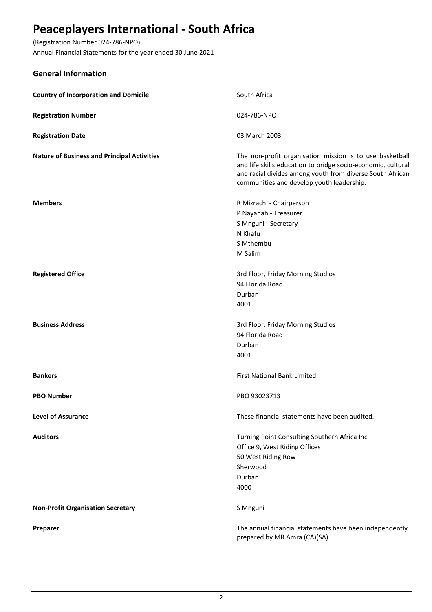(Registration Number 024-786-NPO) Annual Financial Statements for the year ended 30 June 2021

## General Information

| <b>Country of Incorporation and Domicile</b>       | South Africa                                                                                                                                                                                                                       |
|----------------------------------------------------|------------------------------------------------------------------------------------------------------------------------------------------------------------------------------------------------------------------------------------|
| <b>Registration Number</b>                         | 024-786-NPO                                                                                                                                                                                                                        |
| <b>Registration Date</b>                           | 03 March 2003                                                                                                                                                                                                                      |
| <b>Nature of Business and Principal Activities</b> | The non-profit organisation mission is to use basketball<br>and life skills education to bridge socio-economic, cultural<br>and racial divides among youth from diverse South African<br>communities and develop youth leadership. |
| <b>Members</b>                                     | R Mizrachi - Chairperson<br>P Nayanah - Treasurer<br>S Mnguni - Secretary<br>N Khafu<br>S Mthembu<br>M Salim                                                                                                                       |
| <b>Registered Office</b>                           | 3rd Floor, Friday Morning Studios<br>94 Florida Road<br>Durban<br>4001                                                                                                                                                             |
| <b>Business Address</b>                            | 3rd Floor, Friday Morning Studios<br>94 Florida Road<br>Durban<br>4001                                                                                                                                                             |
| <b>Bankers</b>                                     | <b>First National Bank Limited</b>                                                                                                                                                                                                 |
| <b>PBO Number</b>                                  | PBO 93023713                                                                                                                                                                                                                       |
| <b>Level of Assurance</b>                          | These financial statements have been audited.                                                                                                                                                                                      |
| <b>Auditors</b>                                    | Turning Point Consulting Southern Africa Inc<br>Office 9, West Riding Offices<br>50 West Riding Row<br>Sherwood<br>Durban<br>4000                                                                                                  |
| <b>Non-Profit Organisation Secretary</b>           | S Mnguni                                                                                                                                                                                                                           |
| Preparer                                           | The annual financial statements have been independently<br>prepared by MR Amra (CA)(SA)                                                                                                                                            |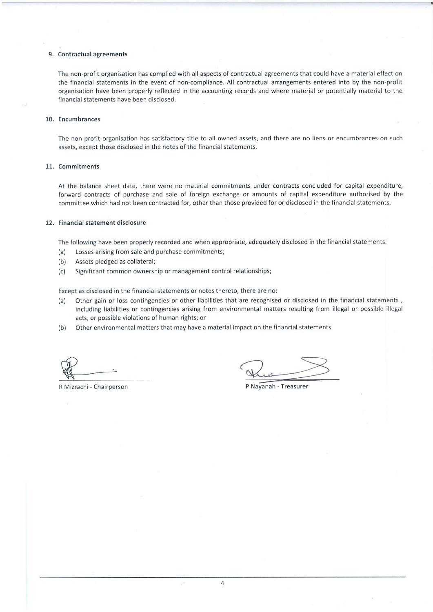#### 9. Contractual agreements

The non-profit organisation has complied with all aspects of contractual agreements that could have a material effect on the financial statements in the event of non-compliance. All contractual arrangements entered into by the non-profit organisation have been properly reflected in the accounting records and where material or potentially material to the financial statements have been disclosed.

#### 10. Encumbrances

The non-profit organisation has satisfactory title to all owned assets, and there are no liens or encumbrances on such assets, except those disclosed in the notes of the financial statements.

#### 11. Commitments

At the balance sheet date, there were no material commitments under contracts concluded for capital expenditure, forward contracts of purchase and sale of foreign exchange or amounts of capital expenditure authorised by the committee which had not been contracted for, other than those provided for or disclosed in the financial statements.

#### 12. Financial statement disclosure

The following have been properly recorded and when appropriate, adequately disclosed in the financial statements:

- Losses arising from sale and purchase commitments;  $(a)$
- $(b)$ Assets pledged as collateral;
- Significant common ownership or management control relationships;  $(c)$

Except as disclosed in the financial statements or notes thereto, there are no:

- Other gain or loss contingencies or other liabilities that are recognised or disclosed in the financial statements,  $(a)$ including liabilities or contingencies arising from environmental matters resulting from illegal or possible illegal acts, or possible violations of human rights; or
- Other environmental matters that may have a material impact on the financial statements.  $(b)$

R Mizrachi - Chairperson

P Nayanah - Treasurer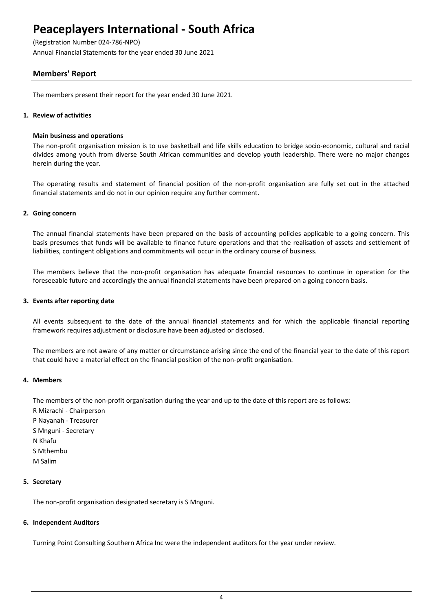(Registration Number 024-786-NPO)

Annual Financial Statements for the year ended 30 June 2021

## Members' Report

The members present their report for the year ended 30 June 2021.

#### 1. Review of activities

#### Main business and operations

The non-profit organisation mission is to use basketball and life skills education to bridge socio-economic, cultural and racial divides among youth from diverse South African communities and develop youth leadership. There were no major changes herein during the year.

The operating results and statement of financial position of the non-profit organisation are fully set out in the attached financial statements and do not in our opinion require any further comment.

### 2. Going concern

The annual financial statements have been prepared on the basis of accounting policies applicable to a going concern. This basis presumes that funds will be available to finance future operations and that the realisation of assets and settlement of liabilities, contingent obligations and commitments will occur in the ordinary course of business.

The members believe that the non-profit organisation has adequate financial resources to continue in operation for the foreseeable future and accordingly the annual financial statements have been prepared on a going concern basis.

#### 3. Events after reporting date

All events subsequent to the date of the annual financial statements and for which the applicable financial reporting framework requires adjustment or disclosure have been adjusted or disclosed.

The members are not aware of any matter or circumstance arising since the end of the financial year to the date of this report that could have a material effect on the financial position of the non-profit organisation.

### 4. Members

The members of the non-profit organisation during the year and up to the date of this report are as follows:

- R Mizrachi Chairperson P Nayanah - Treasurer S Mnguni - Secretary N Khafu S Mthembu
- M Salim

### 5. Secretary

The non-profit organisation designated secretary is S Mnguni.

#### 6. Independent Auditors

Turning Point Consulting Southern Africa Inc were the independent auditors for the year under review.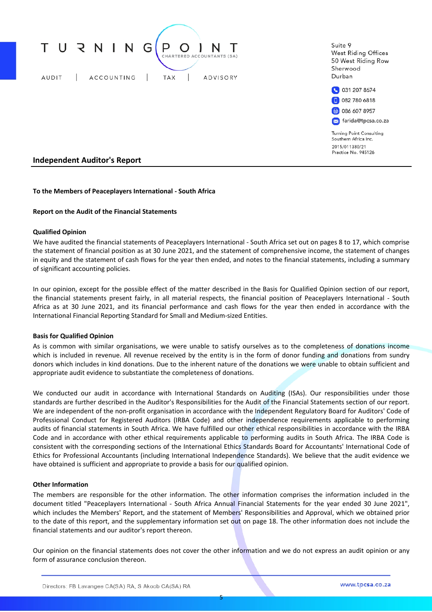

#### To the Members of Peaceplayers International - South Africa

#### Report on the Audit of the Financial Statements

#### Qualified Opinion

We have audited the financial statements of Peaceplayers International - South Africa set out on pages 8 to 17, which comprise the statement of financial position as at 30 June 2021, and the statement of comprehensive income, the statement of changes in equity and the statement of cash flows for the year then ended, and notes to the financial statements, including a summary of significant accounting policies.

In our opinion, except for the possible effect of the matter described in the Basis for Qualified Opinion section of our report, the financial statements present fairly, in all material respects, the financial position of Peaceplayers International - South Africa as at 30 June 2021, and its financial performance and cash flows for the year then ended in accordance with the International Financial Reporting Standard for Small and Medium-sized Entities.

#### Basis for Qualified Opinion

As is common with similar organisations, we were unable to satisfy ourselves as to the completeness of donations income which is included in revenue. All revenue received by the entity is in the form of donor funding and donations from sundry donors which includes in kind donations. Due to the inherent nature of the donations we were unable to obtain sufficient and appropriate audit evidence to substantiate the completeness of donations.

We conducted our audit in accordance with International Standards on Auditing (ISAs). Our responsibilities under those standards are further described in the Auditor's Responsibilities for the Audit of the Financial Statements section of our report. We are independent of the non-profit organisation in accordance with the Independent Regulatory Board for Auditors' Code of Professional Conduct for Registered Auditors (IRBA Code) and other independence requirements applicable to performing audits of financial statements in South Africa. We have fulfilled our other ethical responsibilities in accordance with the IRBA Code and in accordance with other ethical requirements applicable to performing audits in South Africa. The IRBA Code is consistent with the corresponding sections of the International Ethics Standards Board for Accountants' International Code of Ethics for Professional Accountants (including International Independence Standards). We believe that the audit evidence we have obtained is sufficient and appropriate to provide a basis for our qualified opinion.

#### Other Information

The members are responsible for the other information. The other information comprises the information included in the document titled "Peaceplayers International - South Africa Annual Financial Statements for the year ended 30 June 2021", which includes the Members' Report, and the statement of Members' Responsibilities and Approval, which we obtained prior to the date of this report, and the supplementary information set out on page 18. The other information does not include the financial statements and our auditor's report thereon.

Our opinion on the financial statements does not cover the other information and we do not express an audit opinion or any form of assurance conclusion thereon.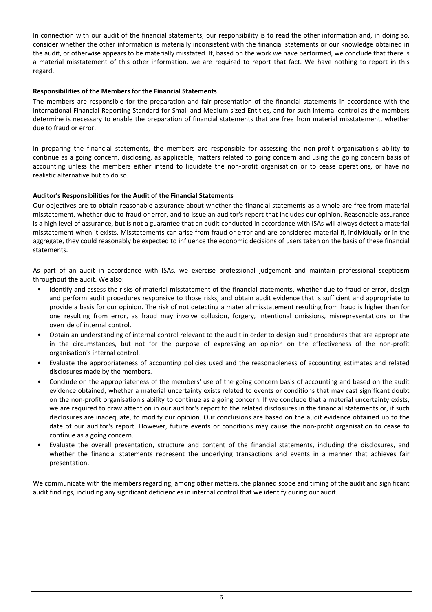In connection with our audit of the financial statements, our responsibility is to read the other information and, in doing so, consider whether the other information is materially inconsistent with the financial statements or our knowledge obtained in the audit, or otherwise appears to be materially misstated. If, based on the work we have performed, we conclude that there is a material misstatement of this other information, we are required to report that fact. We have nothing to report in this regard.

### Responsibilities of the Members for the Financial Statements

The members are responsible for the preparation and fair presentation of the financial statements in accordance with the International Financial Reporting Standard for Small and Medium-sized Entities, and for such internal control as the members determine is necessary to enable the preparation of financial statements that are free from material misstatement, whether due to fraud or error.

In preparing the financial statements, the members are responsible for assessing the non-profit organisation's ability to continue as a going concern, disclosing, as applicable, matters related to going concern and using the going concern basis of accounting unless the members either intend to liquidate the non-profit organisation or to cease operations, or have no realistic alternative but to do so.

### Auditor's Responsibilities for the Audit of the Financial Statements

Our objectives are to obtain reasonable assurance about whether the financial statements as a whole are free from material misstatement, whether due to fraud or error, and to issue an auditor's report that includes our opinion. Reasonable assurance is a high level of assurance, but is not a guarantee that an audit conducted in accordance with ISAs will always detect a material misstatement when it exists. Misstatements can arise from fraud or error and are considered material if, individually or in the aggregate, they could reasonably be expected to influence the economic decisions of users taken on the basis of these financial statements.

As part of an audit in accordance with ISAs, we exercise professional judgement and maintain professional scepticism throughout the audit. We also:

- Identify and assess the risks of material misstatement of the financial statements, whether due to fraud or error, design and perform audit procedures responsive to those risks, and obtain audit evidence that is sufficient and appropriate to provide a basis for our opinion. The risk of not detecting a material misstatement resulting from fraud is higher than for one resulting from error, as fraud may involve collusion, forgery, intentional omissions, misrepresentations or the override of internal control.
- Obtain an understanding of internal control relevant to the audit in order to design audit procedures that are appropriate in the circumstances, but not for the purpose of expressing an opinion on the effectiveness of the non-profit organisation's internal control.
- Evaluate the appropriateness of accounting policies used and the reasonableness of accounting estimates and related disclosures made by the members.
- Conclude on the appropriateness of the members' use of the going concern basis of accounting and based on the audit evidence obtained, whether a material uncertainty exists related to events or conditions that may cast significant doubt on the non-profit organisation's ability to continue as a going concern. If we conclude that a material uncertainty exists, we are required to draw attention in our auditor's report to the related disclosures in the financial statements or, if such disclosures are inadequate, to modify our opinion. Our conclusions are based on the audit evidence obtained up to the date of our auditor's report. However, future events or conditions may cause the non-profit organisation to cease to continue as a going concern.
- Evaluate the overall presentation, structure and content of the financial statements, including the disclosures, and whether the financial statements represent the underlying transactions and events in a manner that achieves fair presentation.

We communicate with the members regarding, among other matters, the planned scope and timing of the audit and significant audit findings, including any significant deficiencies in internal control that we identify during our audit.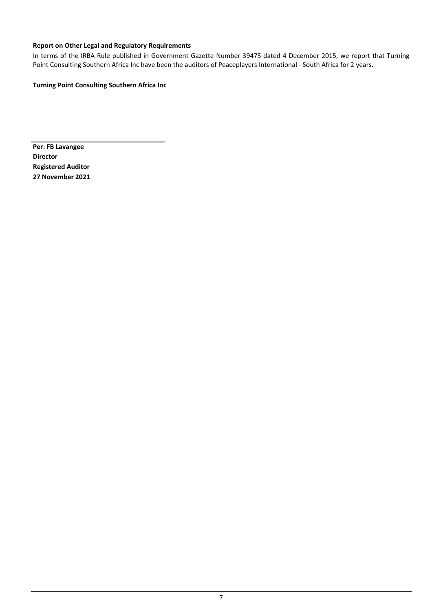## Report on Other Legal and Regulatory Requirements

In terms of the IRBA Rule published in Government Gazette Number 39475 dated 4 December 2015, we report that Turning Point Consulting Southern Africa Inc have been the auditors of Peaceplayers International - South Africa for 2 years.

Turning Point Consulting Southern Africa Inc

Per: FB Lavangee Director Registered Auditor 27 November 2021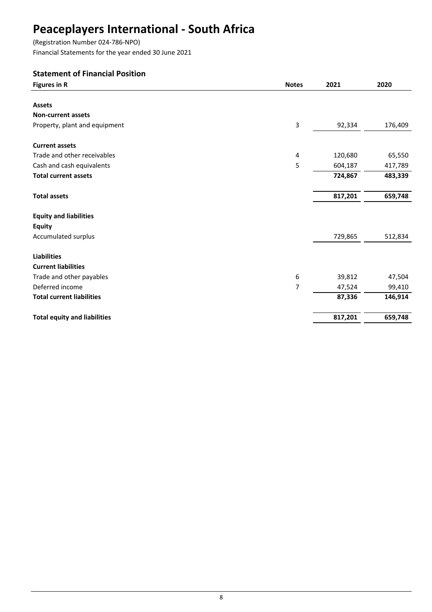(Registration Number 024-786-NPO)

Financial Statements for the year ended 30 June 2021

# Statement of Financial Position

| <b>Figures in R</b>                 | <b>Notes</b> | 2021    | 2020    |
|-------------------------------------|--------------|---------|---------|
|                                     |              |         |         |
| <b>Assets</b>                       |              |         |         |
| <b>Non-current assets</b>           |              |         |         |
| Property, plant and equipment       | 3            | 92,334  | 176,409 |
| <b>Current assets</b>               |              |         |         |
| Trade and other receivables         | 4            | 120,680 | 65,550  |
| Cash and cash equivalents           | 5            | 604,187 | 417,789 |
| <b>Total current assets</b>         |              | 724,867 | 483,339 |
| <b>Total assets</b>                 |              | 817,201 | 659,748 |
| <b>Equity and liabilities</b>       |              |         |         |
| <b>Equity</b>                       |              |         |         |
| Accumulated surplus                 |              | 729,865 | 512,834 |
| <b>Liabilities</b>                  |              |         |         |
| <b>Current liabilities</b>          |              |         |         |
| Trade and other payables            | 6            | 39,812  | 47,504  |
| Deferred income                     | 7            | 47,524  | 99,410  |
| <b>Total current liabilities</b>    |              | 87,336  | 146,914 |
| <b>Total equity and liabilities</b> |              | 817,201 | 659,748 |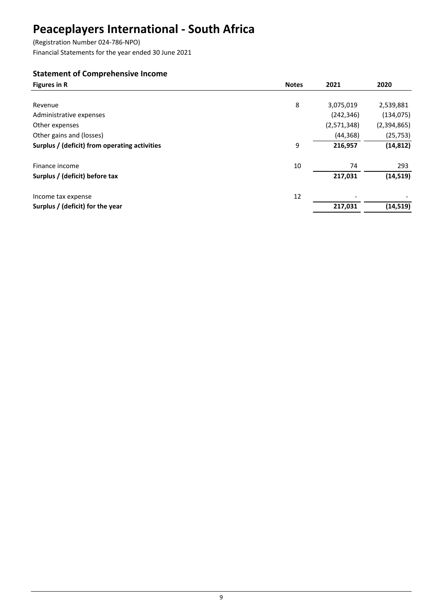(Registration Number 024-786-NPO)

Financial Statements for the year ended 30 June 2021

# Statement of Comprehensive Income

| <b>Figures in R</b>                           | <b>Notes</b> | 2021        | 2020        |
|-----------------------------------------------|--------------|-------------|-------------|
|                                               |              |             |             |
| Revenue                                       | 8            | 3,075,019   | 2,539,881   |
| Administrative expenses                       |              | (242, 346)  | (134, 075)  |
| Other expenses                                |              | (2,571,348) | (2,394,865) |
| Other gains and (losses)                      |              | (44, 368)   | (25, 753)   |
| Surplus / (deficit) from operating activities | 9            | 216,957     | (14, 812)   |
| Finance income                                | 10           | 74          | 293         |
| Surplus / (deficit) before tax                |              | 217,031     | (14, 519)   |
| Income tax expense                            | 12           |             |             |
| Surplus / (deficit) for the year              |              | 217,031     | (14, 519)   |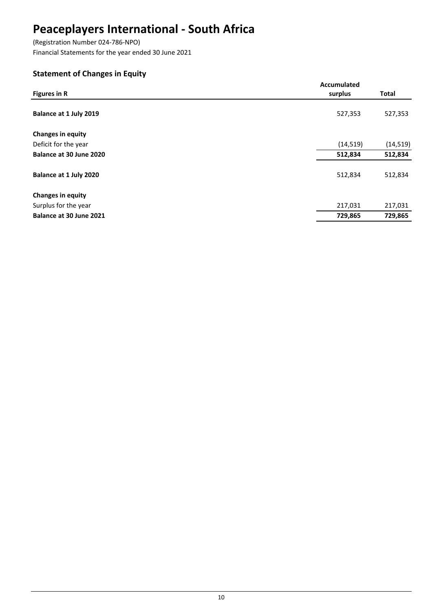(Registration Number 024-786-NPO) Financial Statements for the year ended 30 June 2021

# Statement of Changes in Equity

|                          | <b>Accumulated</b> |              |
|--------------------------|--------------------|--------------|
| <b>Figures in R</b>      | surplus            | <b>Total</b> |
|                          |                    |              |
| Balance at 1 July 2019   | 527,353            | 527,353      |
|                          |                    |              |
| <b>Changes in equity</b> |                    |              |
| Deficit for the year     | (14, 519)          | (14, 519)    |
| Balance at 30 June 2020  | 512,834            | 512,834      |
|                          |                    |              |
| Balance at 1 July 2020   | 512,834            | 512,834      |
| <b>Changes in equity</b> |                    |              |
| Surplus for the year     | 217,031            | 217,031      |
|                          |                    |              |
| Balance at 30 June 2021  | 729,865            | 729,865      |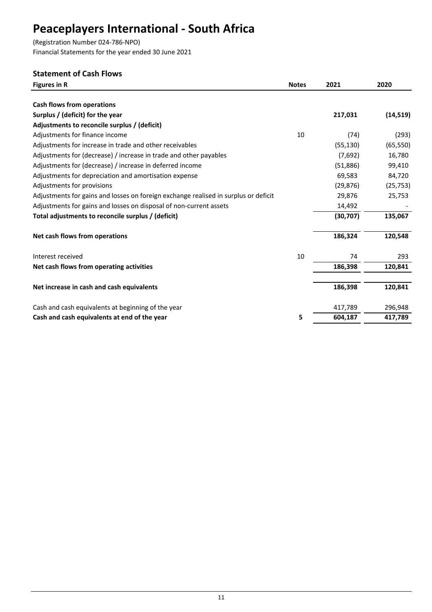(Registration Number 024-786-NPO) Financial Statements for the year ended 30 June 2021

## Statement of Cash Flows

| <b>Figures in R</b>                                                                 | <b>Notes</b> | 2021      | 2020      |
|-------------------------------------------------------------------------------------|--------------|-----------|-----------|
| <b>Cash flows from operations</b>                                                   |              |           |           |
| Surplus / (deficit) for the year                                                    |              | 217,031   | (14, 519) |
| Adjustments to reconcile surplus / (deficit)                                        |              |           |           |
| Adjustments for finance income                                                      | 10           | (74)      | (293)     |
| Adjustments for increase in trade and other receivables                             |              | (55, 130) | (65, 550) |
| Adjustments for (decrease) / increase in trade and other payables                   |              | (7,692)   | 16,780    |
| Adjustments for (decrease) / increase in deferred income                            |              | (51,886)  | 99,410    |
| Adjustments for depreciation and amortisation expense                               |              | 69,583    | 84,720    |
| Adjustments for provisions                                                          |              | (29, 876) | (25, 753) |
| Adjustments for gains and losses on foreign exchange realised in surplus or deficit |              | 29,876    | 25,753    |
| Adjustments for gains and losses on disposal of non-current assets                  |              | 14,492    |           |
| Total adjustments to reconcile surplus / (deficit)                                  |              | (30, 707) | 135,067   |
| Net cash flows from operations                                                      |              | 186,324   | 120,548   |
| Interest received                                                                   | 10           | 74        | 293       |
| Net cash flows from operating activities                                            |              | 186,398   | 120,841   |
| Net increase in cash and cash equivalents                                           |              | 186,398   | 120,841   |
| Cash and cash equivalents at beginning of the year                                  |              | 417,789   | 296,948   |
| Cash and cash equivalents at end of the year                                        | 5            | 604,187   | 417,789   |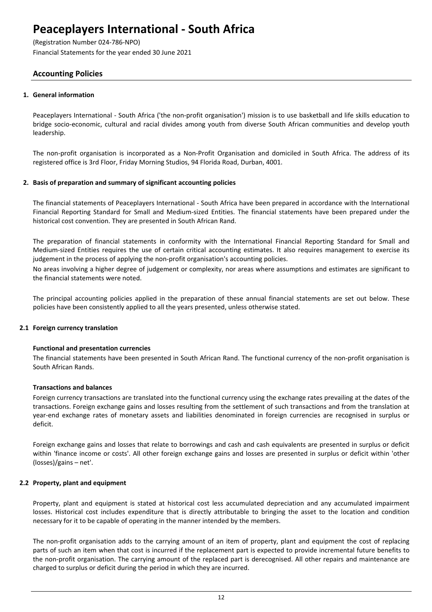(Registration Number 024-786-NPO)

Financial Statements for the year ended 30 June 2021

## Accounting Policies

### 1. General information

Peaceplayers International - South Africa ('the non-profit organisation') mission is to use basketball and life skills education to bridge socio-economic, cultural and racial divides among youth from diverse South African communities and develop youth leadership.

The non-profit organisation is incorporated as a Non-Profit Organisation and domiciled in South Africa. The address of its registered office is 3rd Floor, Friday Morning Studios, 94 Florida Road, Durban, 4001.

### 2. Basis of preparation and summary of significant accounting policies

The financial statements of Peaceplayers International - South Africa have been prepared in accordance with the International Financial Reporting Standard for Small and Medium-sized Entities. The financial statements have been prepared under the historical cost convention. They are presented in South African Rand.

The preparation of financial statements in conformity with the International Financial Reporting Standard for Small and Medium-sized Entities requires the use of certain critical accounting estimates. It also requires management to exercise its judgement in the process of applying the non-profit organisation's accounting policies.

No areas involving a higher degree of judgement or complexity, nor areas where assumptions and estimates are significant to the financial statements were noted.

The principal accounting policies applied in the preparation of these annual financial statements are set out below. These policies have been consistently applied to all the years presented, unless otherwise stated.

### 2.1 Foreign currency translation

#### Functional and presentation currencies

The financial statements have been presented in South African Rand. The functional currency of the non-profit organisation is South African Rands.

#### Transactions and balances

Foreign currency transactions are translated into the functional currency using the exchange rates prevailing at the dates of the transactions. Foreign exchange gains and losses resulting from the settlement of such transactions and from the translation at year-end exchange rates of monetary assets and liabilities denominated in foreign currencies are recognised in surplus or deficit.

Foreign exchange gains and losses that relate to borrowings and cash and cash equivalents are presented in surplus or deficit within 'finance income or costs'. All other foreign exchange gains and losses are presented in surplus or deficit within 'other (losses)/gains – net'.

### 2.2 Property, plant and equipment

Property, plant and equipment is stated at historical cost less accumulated depreciation and any accumulated impairment losses. Historical cost includes expenditure that is directly attributable to bringing the asset to the location and condition necessary for it to be capable of operating in the manner intended by the members.

The non-profit organisation adds to the carrying amount of an item of property, plant and equipment the cost of replacing parts of such an item when that cost is incurred if the replacement part is expected to provide incremental future benefits to the non-profit organisation. The carrying amount of the replaced part is derecognised. All other repairs and maintenance are charged to surplus or deficit during the period in which they are incurred.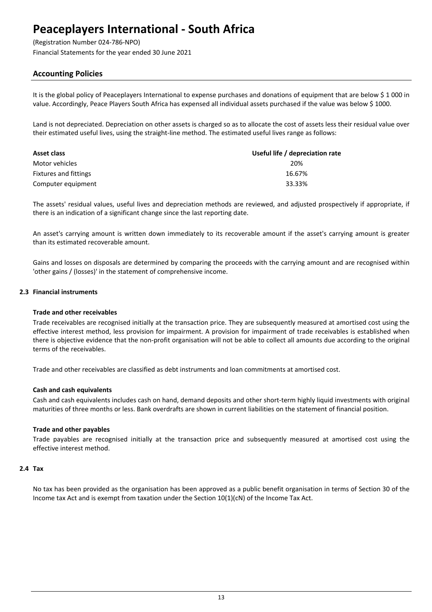(Registration Number 024-786-NPO)

Financial Statements for the year ended 30 June 2021

## Accounting Policies

It is the global policy of Peaceplayers International to expense purchases and donations of equipment that are below \$ 1 000 in value. Accordingly, Peace Players South Africa has expensed all individual assets purchased if the value was below \$ 1000.

Land is not depreciated. Depreciation on other assets is charged so as to allocate the cost of assets less their residual value over their estimated useful lives, using the straight-line method. The estimated useful lives range as follows:

| Asset class           | Useful life / depreciation rate |
|-----------------------|---------------------------------|
| Motor vehicles        | 20%                             |
| Fixtures and fittings | 16.67%                          |
| Computer equipment    | 33.33%                          |

The assets' residual values, useful lives and depreciation methods are reviewed, and adjusted prospectively if appropriate, if there is an indication of a significant change since the last reporting date.

An asset's carrying amount is written down immediately to its recoverable amount if the asset's carrying amount is greater than its estimated recoverable amount.

Gains and losses on disposals are determined by comparing the proceeds with the carrying amount and are recognised within 'other gains / (losses)' in the statement of comprehensive income.

#### 2.3 Financial instruments

#### Trade and other receivables

Trade receivables are recognised initially at the transaction price. They are subsequently measured at amortised cost using the effective interest method, less provision for impairment. A provision for impairment of trade receivables is established when there is objective evidence that the non-profit organisation will not be able to collect all amounts due according to the original terms of the receivables.

Trade and other receivables are classified as debt instruments and loan commitments at amortised cost.

#### Cash and cash equivalents

Cash and cash equivalents includes cash on hand, demand deposits and other short-term highly liquid investments with original maturities of three months or less. Bank overdrafts are shown in current liabilities on the statement of financial position.

#### Trade and other payables

Trade payables are recognised initially at the transaction price and subsequently measured at amortised cost using the effective interest method.

#### 2.4 Tax

No tax has been provided as the organisation has been approved as a public benefit organisation in terms of Section 30 of the Income tax Act and is exempt from taxation under the Section 10(1)(cN) of the Income Tax Act.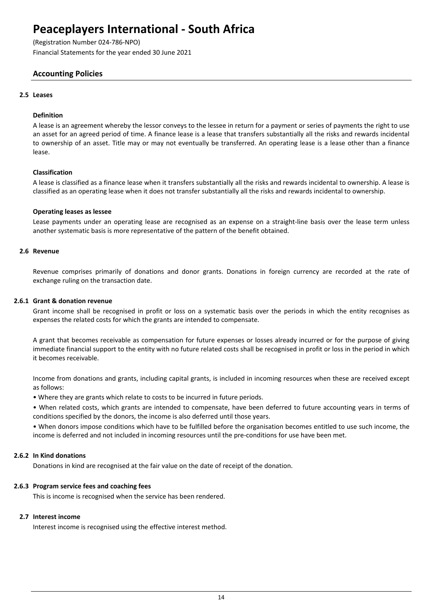(Registration Number 024-786-NPO)

Financial Statements for the year ended 30 June 2021

## Accounting Policies

### 2.5 Leases

#### Definition

A lease is an agreement whereby the lessor conveys to the lessee in return for a payment or series of payments the right to use an asset for an agreed period of time. A finance lease is a lease that transfers substantially all the risks and rewards incidental to ownership of an asset. Title may or may not eventually be transferred. An operating lease is a lease other than a finance lease.

### Classification

A lease is classified as a finance lease when it transfers substantially all the risks and rewards incidental to ownership. A lease is classified as an operating lease when it does not transfer substantially all the risks and rewards incidental to ownership.

#### Operating leases as lessee

Lease payments under an operating lease are recognised as an expense on a straight-line basis over the lease term unless another systematic basis is more representative of the pattern of the benefit obtained.

#### 2.6 Revenue

Revenue comprises primarily of donations and donor grants. Donations in foreign currency are recorded at the rate of exchange ruling on the transaction date.

#### 2.6.1 Grant & donation revenue

Grant income shall be recognised in profit or loss on a systematic basis over the periods in which the entity recognises as expenses the related costs for which the grants are intended to compensate.

A grant that becomes receivable as compensation for future expenses or losses already incurred or for the purpose of giving immediate financial support to the entity with no future related costs shall be recognised in profit or loss in the period in which it becomes receivable.

Income from donations and grants, including capital grants, is included in incoming resources when these are received except as follows:

• Where they are grants which relate to costs to be incurred in future periods.

• When related costs, which grants are intended to compensate, have been deferred to future accounting years in terms of conditions specified by the donors, the income is also deferred until those years.

• When donors impose conditions which have to be fulfilled before the organisation becomes entitled to use such income, the income is deferred and not included in incoming resources until the pre-conditions for use have been met.

#### 2.6.2 In Kind donations

Donations in kind are recognised at the fair value on the date of receipt of the donation.

#### 2.6.3 Program service fees and coaching fees

This is income is recognised when the service has been rendered.

### 2.7 Interest income

Interest income is recognised using the effective interest method.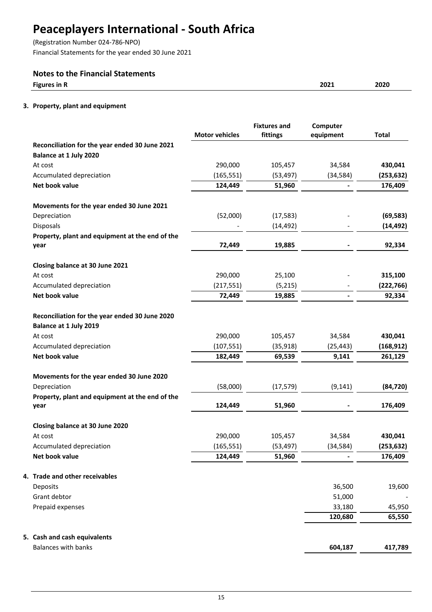(Registration Number 024-786-NPO)

Financial Statements for the year ended 30 June 2021

## Notes to the Financial Statements

| --    |             |      |
|-------|-------------|------|
| ∵in R | ירחר        | 2022 |
| rie.  | <b>ZUZI</b> | ZUZU |
|       |             |      |

## 3. Property, plant and equipment

|                                                 | <b>Motor vehicles</b> | <b>Fixtures and</b><br>fittings | Computer<br>equipment | <b>Total</b> |
|-------------------------------------------------|-----------------------|---------------------------------|-----------------------|--------------|
| Reconciliation for the year ended 30 June 2021  |                       |                                 |                       |              |
| Balance at 1 July 2020                          |                       |                                 |                       |              |
| At cost                                         | 290,000               | 105,457                         | 34,584                | 430,041      |
| Accumulated depreciation                        | (165, 551)            | (53, 497)                       | (34, 584)             | (253, 632)   |
| Net book value                                  | 124,449               | 51,960                          |                       | 176,409      |
| Movements for the year ended 30 June 2021       |                       |                                 |                       |              |
| Depreciation                                    | (52,000)              | (17, 583)                       |                       | (69, 583)    |
| Disposals                                       |                       | (14, 492)                       |                       | (14, 492)    |
| Property, plant and equipment at the end of the |                       |                                 |                       |              |
| year                                            | 72,449                | 19,885                          |                       | 92,334       |
| Closing balance at 30 June 2021                 |                       |                                 |                       |              |
| At cost                                         | 290,000               | 25,100                          |                       | 315,100      |
| Accumulated depreciation                        | (217, 551)            | (5,215)                         |                       | (222, 766)   |
| Net book value                                  | 72,449                | 19,885                          | $\overline{a}$        | 92,334       |
| Reconciliation for the year ended 30 June 2020  |                       |                                 |                       |              |
| Balance at 1 July 2019                          |                       |                                 |                       |              |
| At cost                                         | 290,000               | 105,457                         | 34,584                | 430,041      |
| Accumulated depreciation                        | (107, 551)            | (35, 918)                       | (25, 443)             | (168, 912)   |
| Net book value                                  | 182,449               | 69,539                          | 9,141                 | 261,129      |
| Movements for the year ended 30 June 2020       |                       |                                 |                       |              |
| Depreciation                                    | (58,000)              | (17, 579)                       | (9, 141)              | (84, 720)    |
| Property, plant and equipment at the end of the |                       |                                 |                       |              |
| year                                            | 124,449               | 51,960                          |                       | 176,409      |
| Closing balance at 30 June 2020                 |                       |                                 |                       |              |
| At cost                                         | 290,000               | 105,457                         | 34,584                | 430,041      |
| Accumulated depreciation                        | (165, 551)            | (53, 497)                       | (34, 584)             | (253, 632)   |
| Net book value                                  | 124,449               | 51,960                          |                       | 176,409      |
| 4. Trade and other receivables                  |                       |                                 |                       |              |
| Deposits                                        |                       |                                 | 36,500                | 19,600       |
| Grant debtor                                    |                       |                                 | 51,000                |              |
| Prepaid expenses                                |                       |                                 | 33,180                | 45,950       |
|                                                 |                       |                                 | 120,680               | 65,550       |
| 5. Cash and cash equivalents                    |                       |                                 |                       |              |
| <b>Balances with banks</b>                      |                       |                                 | 604,187               | 417,789      |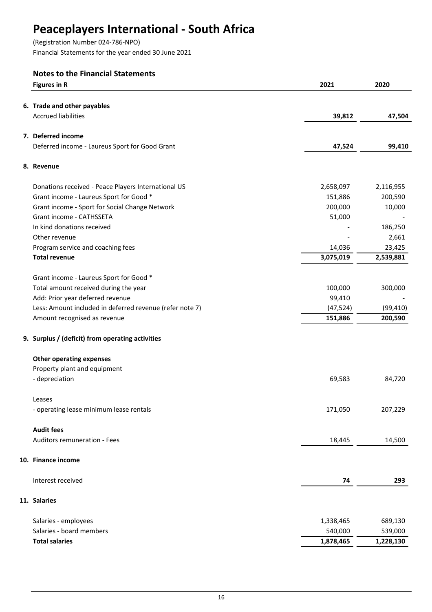(Registration Number 024-786-NPO)

Financial Statements for the year ended 30 June 2021

# Notes to the Financial Statements

| <b>Figures in R</b>                                      | 2021      | 2020      |
|----------------------------------------------------------|-----------|-----------|
| 6. Trade and other payables                              |           |           |
| <b>Accrued liabilities</b>                               | 39,812    | 47,504    |
|                                                          |           |           |
| 7. Deferred income                                       |           |           |
| Deferred income - Laureus Sport for Good Grant           | 47,524    | 99,410    |
| 8. Revenue                                               |           |           |
|                                                          |           |           |
| Donations received - Peace Players International US      | 2,658,097 | 2,116,955 |
| Grant income - Laureus Sport for Good *                  | 151,886   | 200,590   |
| Grant income - Sport for Social Change Network           | 200,000   | 10,000    |
| Grant income - CATHSSETA                                 | 51,000    |           |
| In kind donations received                               |           | 186,250   |
| Other revenue                                            |           | 2,661     |
| Program service and coaching fees                        | 14,036    | 23,425    |
| <b>Total revenue</b>                                     | 3,075,019 | 2,539,881 |
| Grant income - Laureus Sport for Good *                  |           |           |
| Total amount received during the year                    | 100,000   | 300,000   |
| Add: Prior year deferred revenue                         | 99,410    |           |
| Less: Amount included in deferred revenue (refer note 7) | (47, 524) | (99, 410) |
| Amount recognised as revenue                             | 151,886   | 200,590   |
|                                                          |           |           |
| 9. Surplus / (deficit) from operating activities         |           |           |
| <b>Other operating expenses</b>                          |           |           |
| Property plant and equipment                             |           |           |
| - depreciation                                           | 69,583    | 84,720    |
| Leases                                                   |           |           |
| - operating lease minimum lease rentals                  | 171,050   | 207,229   |
| <b>Audit fees</b>                                        |           |           |
| Auditors remuneration - Fees                             | 18,445    | 14,500    |
| 10. Finance income                                       |           |           |
| Interest received                                        | 74        | 293       |
| 11. Salaries                                             |           |           |
| Salaries - employees                                     | 1,338,465 | 689,130   |
| Salaries - board members                                 | 540,000   | 539,000   |
| <b>Total salaries</b>                                    | 1,878,465 | 1,228,130 |
|                                                          |           |           |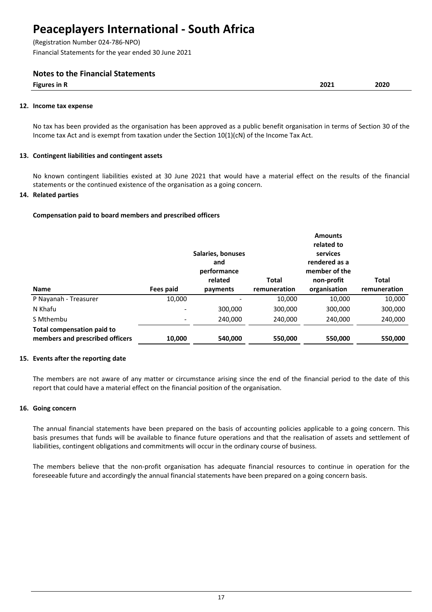(Registration Number 024-786-NPO)

Financial Statements for the year ended 30 June 2021

## Notes to the Financial Statements

| Figure 1<br>ៈ in<br>$\sim$ or $P^{\rm c}$<br>. | 3031<br>ZUZI | <b></b><br>$-0-0$ |
|------------------------------------------------|--------------|-------------------|
|                                                |              |                   |

#### 12. Income tax expense

No tax has been provided as the organisation has been approved as a public benefit organisation in terms of Section 30 of the Income tax Act and is exempt from taxation under the Section 10(1)(cN) of the Income Tax Act.

### 13. Contingent liabilities and contingent assets

No known contingent liabilities existed at 30 June 2021 that would have a material effect on the results of the financial statements or the continued existence of the organisation as a going concern.

### 14. Related parties

### Compensation paid to board members and prescribed officers

|                                                                      |           | Salaries, bonuses<br>and<br>performance<br>related | Total        | <b>Amounts</b><br>related to<br>services<br>rendered as a<br>member of the<br>non-profit | Total        |
|----------------------------------------------------------------------|-----------|----------------------------------------------------|--------------|------------------------------------------------------------------------------------------|--------------|
| <b>Name</b>                                                          | Fees paid | payments                                           | remuneration | organisation                                                                             | remuneration |
| P Nayanah - Treasurer                                                | 10,000    |                                                    | 10,000       | 10.000                                                                                   | 10,000       |
| N Khafu                                                              |           | 300,000                                            | 300,000      | 300,000                                                                                  | 300,000      |
| S Mthembu                                                            |           | 240.000                                            | 240,000      | 240,000                                                                                  | 240,000      |
| <b>Total compensation paid to</b><br>members and prescribed officers | 10,000    | 540,000                                            | 550,000      | 550,000                                                                                  | 550,000      |

#### 15. Events after the reporting date

The members are not aware of any matter or circumstance arising since the end of the financial period to the date of this report that could have a material effect on the financial position of the organisation.

#### 16. Going concern

The annual financial statements have been prepared on the basis of accounting policies applicable to a going concern. This basis presumes that funds will be available to finance future operations and that the realisation of assets and settlement of liabilities, contingent obligations and commitments will occur in the ordinary course of business.

The members believe that the non-profit organisation has adequate financial resources to continue in operation for the foreseeable future and accordingly the annual financial statements have been prepared on a going concern basis.